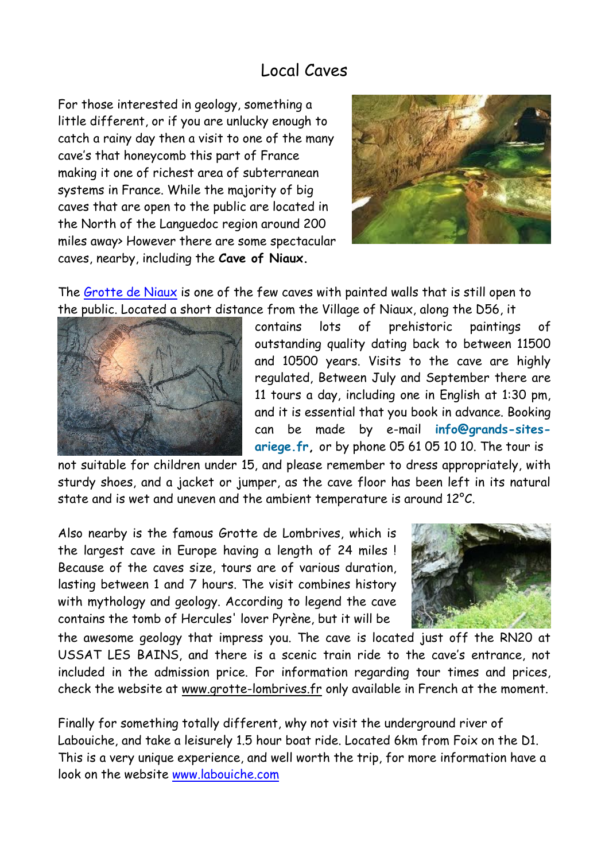## Local Caves

For those interested in geology, something a little different, or if you are unlucky enough to catch a rainy day then a visit to one of the many cave's that honeycomb this part of France making it one of richest area of subterranean systems in France. While the majority of big caves that are open to the public are located in the North of the Languedoc region around 200 miles away> However there are some spectacular caves, nearby, including the **Cave of Niaux.**



The [Grotte de Niaux](http://www.grands-sites-ariege.fr/en/grotte-de-niaux/detail/1/presentation-10) is one of the few caves with painted walls that is still open to the public. Located a short distance from the Village of Niaux, along the D56, it



contains lots of prehistoric paintings of outstanding quality dating back to between 11500 and 10500 years. Visits to the cave are highly regulated, Between July and September there are 11 tours a day, including one in English at 1:30 pm, and it is essential that you book in advance. Booking can be made by e-mail **[info@grands-sites](mailto:info@grands-sites-ariege.fr?subject=Reservation%20visite%20grotte%20de%20Niaux)[ariege.fr,](mailto:info@grands-sites-ariege.fr?subject=Reservation%20visite%20grotte%20de%20Niaux)** or by phone 05 61 05 10 10. The tour is

not suitable for children under 15, and please remember to dress appropriately, with sturdy shoes, and a jacket or jumper, as the cave floor has been left in its natural state and is wet and uneven and the ambient temperature is around 12°C.

Also nearby is the famous Grotte de Lombrives, which is the largest cave in Europe having a length of 24 miles ! Because of the caves size, tours are of various duration, lasting between 1 and 7 hours. The visit combines history with mythology and geology. According to legend the cave contains the tomb of Hercules' lover Pyrène, but it will be



the awesome geology that impress you. The cave is located just off the RN20 at USSAT LES BAINS, and there is a scenic train ride to the cave's entrance, not included in the admission price. For information regarding tour times and prices, check the website at [www.grotte-lombrives.fr](http://www.grotte-lombrives.fr/) only available in French at the moment.

Finally for something totally different, why not visit the underground river of Labouiche, and take a leisurely 1.5 hour boat ride. Located 6km from Foix on the D1. This is a very unique experience, and well worth the trip, for more information have a look on the website<www.labouiche.com>